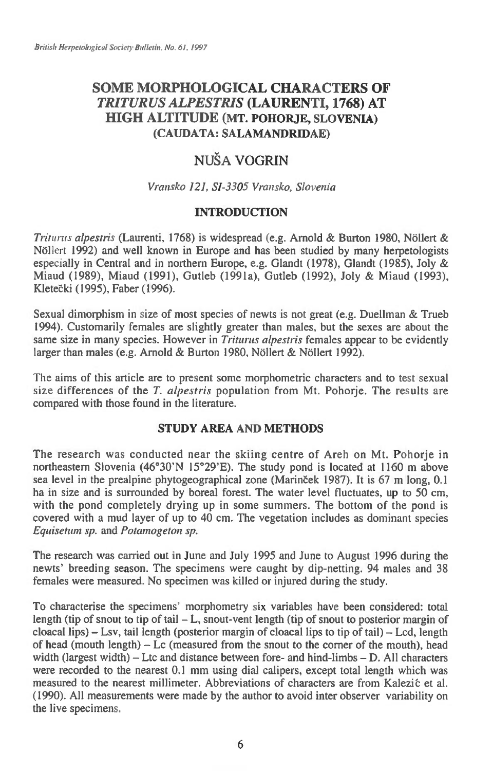## **SOME MORPHOLOGICAL CHARACTERS OF**  *TRITURUS ALPESTRIS* **(LAURENTI, 1768) AT HIGH ALTITUDE (MT. POHORJE, SLOVENIA) (CAUDATA: SALAMANDRIDAE)**

# NUŠA VOGRIN

## *Vransko 121, SI-3305 Vransko, Slovenia*

## **INTRODUCTION**

*Triturus alpestris* (Laurenti, 1768) is widespread (e.g. Arnold & Burton 1980, Nöllert & Nöllert 1992) and well known in Europe and has been studied by many herpetologists especially in Central and in northern Europe, e.g. Glandt (1978), Glandt (1985), Joly & Miaud (1989), Miaud (1991), Gutleb (1991a), Gutleb (1992), Joly & Miaud (1993), Kleteki (1995), Faber (1996).

Sexual dimorphism in size of most species of newts is not great (e.g. Duellman & Trueb 1994). Customarily females are slightly greater than males, but the sexes are about the same size in many species. However in *Triturus alpestris* females appear to be evidently larger than males (e.g. Arnold & Burton 1980, Nöllert & Nöllert 1992).

The aims of this article are to present some morphometric characters and to test sexual size differences of the *T. alpestris* population from Mt. Pohorje. The results are compared with those found in the literature.

## **STUDY AREA AND METHODS**

The research was conducted near the skiing centre of Areh on Mt. Pohorje in northeastern Slovenia (46°30'N 15°29'E). The study pond is located at 1160 m above sea level in the prealpine phytogeographical zone (Marinček 1987). It is 67 m long, 0.1 ha in size and is surrounded by boreal forest. The water level fluctuates, up to 50 cm, with the pond completely drying up in some summers. The bottom of the pond is covered with a mud layer of up to 40 cm. The vegetation includes as dominant species *Equisetum sp.* and *Potamogeton sp.* 

The research was carried out in June and July 1995 and June to August 1996 during the newts' breeding season. The specimens were caught by dip-netting. 94 males and 38 females were measured. No specimen was killed or injured during the study.

To characterise the specimens' morphometry six variables have been considered: total length (tip of snout to tip of tail  $-L$ , snout-vent length (tip of snout to posterior margin of cloacal lips) — Lsv, tail length (posterior margin of cloacal lips to tip of tail) — Lcd, length of head (mouth length) — Lc (measured from the snout to the corner of the mouth), head width (largest width) — Ltc and distance between fore- and hind-limbs — D. All characters were recorded to the nearest 0.1 mm using dial calipers, except total length which was measured to the nearest millimeter. Abbreviations of characters are from Kalezic et al. (1990). All measurements were made by the author to avoid inter observer variability on the live specimens.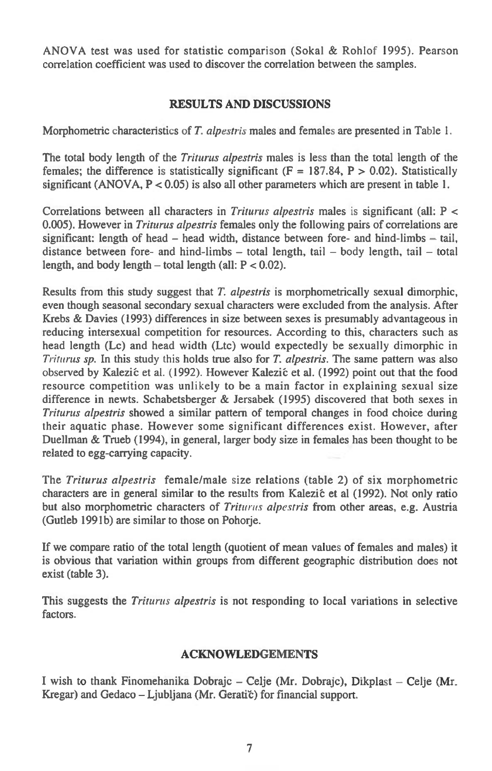ANOVA test was used for statistic comparison (Sokal & Rohlof 1995). Pearson correlation coefficient was used to discover the correlation between the samples.

## RESULTS AND DISCUSSIONS

Morphometric characteristics of *T. alpestris* males and females are presented in Table 1.

The total body length of the *Triturus alpestris males* is less than the total length of the females; the difference is statistically significant ( $F = 187.84$ ,  $P > 0.02$ ). Statistically significant (ANOVA,  $P < 0.05$ ) is also all other parameters which are present in table 1.

Correlations between all characters in *Triturus alpestris* males is significant (all: P < 0.005). However in *Triturus alpestris* females only the following pairs of correlations are significant: length of head  $-$  head width, distance between fore- and hind-limbs  $-$  tail, distance between fore- and hind-limbs — total length, tail — body length, tail — total length, and body length  $-$  total length (all:  $P < 0.02$ ).

Results from this study suggest that *T. alpestris* is morphometrically sexual dimorphic, even though seasonal secondary sexual characters were excluded from the analysis. After Krebs & Davies (1993) differences in size between sexes is presumably advantageous in reducing intersexual competition for resources. According to this, characters such as head length (Lc) and head width (Ltc) would expectedly be sexually dimorphic in *Triturus sp.* In this study this holds true also for *T. alpestris.* The same pattern was also observed by Kalezić et al. (1992). However Kalezić et al. (1992) point out that the food resource competition was unlikely to be a main factor in explaining sexual size difference in newts. Schabetsberger & Jersabek (1995) discovered that both sexes in *Triturus alpestris* showed a similar pattern of temporal changes in food choice during their aquatic phase. However some significant differences exist. However, after Duellman & Trueb (1994), in general, larger body size in females has been thought to be related to egg-carrying capacity.

The *Triturus alpestris* female/male size relations (table 2) of six morphometric characters are in general similar to the results from Kalezić et al (1992). Not only ratio but also morphometric characters of *Triturus alpestris* from other areas, e.g. Austria (Gutleb 1991b) are similar to those on Pohorje.

If we compare ratio of the total length (quotient of mean values of females and males) it is obvious that variation within groups from different geographic distribution does not exist (table 3).

This suggests the *Triturus alpestris* is not responding to local variations in selective factors.

#### ACKNOWLEDGEMENTS

I wish to thank Finomehanika Dobrajc — Celje (Mr. Dobrajc), Dikplast — Celje (Mr. Kregar) and Gedaco - Ljubljana (Mr. Geratič) for financial support.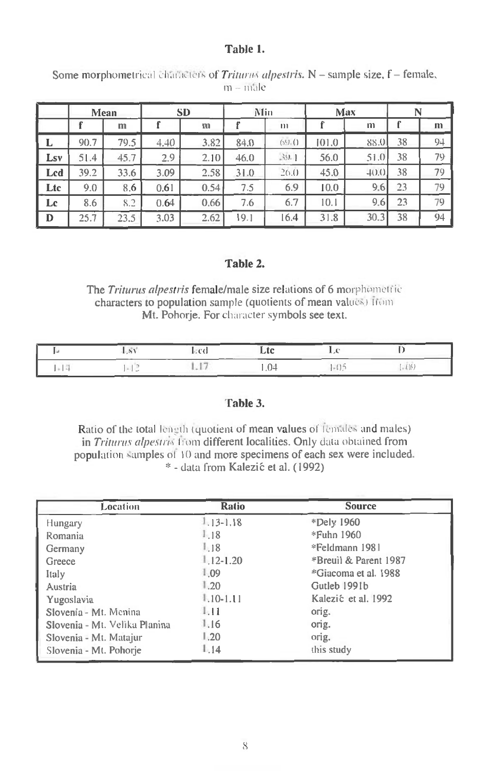## Table 1.

| Some morphometrical characters of Triturus alpestris. $N$ – sample size, $f$ – female,<br>$m - male$ |  |
|------------------------------------------------------------------------------------------------------|--|
|------------------------------------------------------------------------------------------------------|--|

|     |      | Mean |      | <b>SD</b> |      | Min          |       | Max      | N  |    |
|-----|------|------|------|-----------|------|--------------|-------|----------|----|----|
|     |      | m    |      | m         |      | $\mathbf{m}$ |       | m        |    | m  |
| L   | 90.7 | 79.5 | 4.40 | 3.82      | 84.0 | (59.0)       | 101.0 | 88.0     | 38 | 94 |
| Lsv | 51.4 | 45.7 | 2.9  | 2.10      | 46.0 | 39.1         | 56.0  | 51.0     | 38 | 79 |
| Lcd | 39.2 | 33.6 | 3.09 | 2.58      | 31.0 | 26.0         | 45.0  | $+(0.0)$ | 38 | 79 |
| Ltc | 9.0  | 8.6  | 0.61 | 0.54      | 7.5  | 6.9          | 10.0  | 9.6      | 23 | 79 |
| Lc  | 8.6  | 8.2  | 0.64 | 0.66      | 7.6  | 6.7          | 10.1  | 9.6      | 23 | 79 |
| D   | 25.7 | 23.5 | 3.03 | 2.62      | 19.1 | 16.4         | 31.8  | 30.3     | 38 | 94 |

## Table 2.

The *Triturus alpestris* female/male size relations of 6 morphometric characters to population sample (quotients of mean values) from Mt. Pohorje. For character symbols see text.

|  | $1 - 8$ |  |  |
|--|---------|--|--|
|  |         |  |  |

#### Table 3.

Ratio of the total length (quotient of mean values of females and males) in *Triturus alpestris* from different localities. Only data obtained from population 'samples of 10 and more specimens of each sex were included. \* - data from Kalezie et al. (1992)

| Location                      | <b>Ratio</b>   | <b>Source</b>         |
|-------------------------------|----------------|-----------------------|
| Hungary                       | $1.13 - 1.18$  | *Dely 1960            |
| Romania                       | 1.18           | *Fuhn 1960            |
| Germany                       | 1.18           | *Feldmann 1981        |
| Greece                        | $1.12 - 1.20$  | *Breuil & Parent 1987 |
| Italy                         | 1.09           | *Giacoma et al. 1988  |
| Austria                       | $\frac{1}{20}$ | Gutleb 1991b          |
| Yugoslavia                    | $1.10 - 1.11$  | Kalezić et al. 1992   |
| Slovenia - Mt. Menina         | 1.11           | orig.                 |
| Slovenia - Mt. Velika Planina | 1.16           | orig.                 |
| Slovenia - Mt. Matajur        | 1.20           | orig.                 |
| Slovenia - Mt. Pohorje        | 1.14           | this study            |